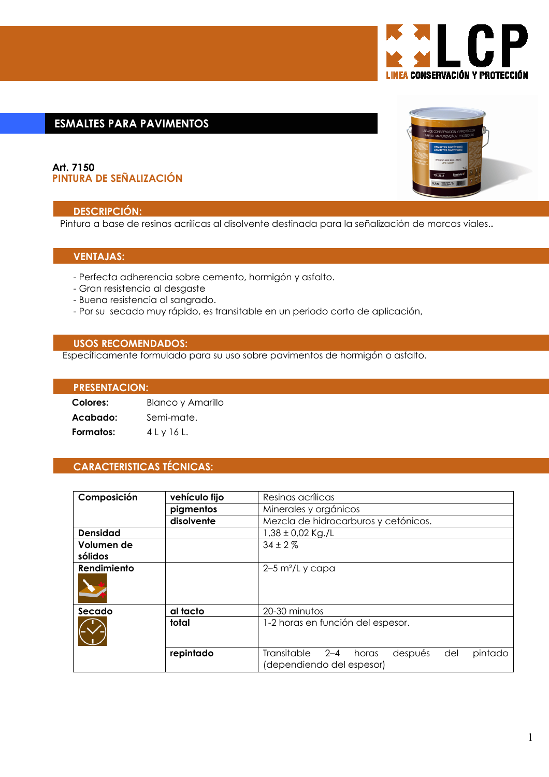

# **ESMALTES PARA PAVIMENTOS**

## Art. 7150 PINTURA DE SEÑALIZACIÓN

## **DESCRIPCIÓN:**

Pintura a base de resinas acrílicas al disolvente destinada para la señalización de marcas viales..

## **VENTAJAS:**

- Perfecta adherencia sobre cemento, hormigón y asfalto.
- Gran resistencia al desgaste
- Buena resistencia al sangrado.
- Por su secado muy rápido, es transitable en un periodo corto de aplicación,

## **USOS RECOMENDADOS:**

Específicamente formulado para su uso sobre pavimentos de hormigón o asfalto.

## **PRESENTACION:**

| Colores:  | Blanco y Amarillo |
|-----------|-------------------|
| Acabado:  | Semi-mate.        |
| Formatos: | 4 L y 16 L.       |

# **CARACTERISTICAS TÉCNICAS:**

| Composición     | vehículo fijo | Resinas acrílicas                                                                         |
|-----------------|---------------|-------------------------------------------------------------------------------------------|
|                 | pigmentos     | Minerales y orgánicos                                                                     |
|                 | disolvente    | Mezcla de hidrocarburos y cetónicos.                                                      |
| <b>Densidad</b> |               | $1,38 \pm 0.02$ Kg./L                                                                     |
| Volumen de      |               | $34 \pm 2\%$                                                                              |
| sólidos         |               |                                                                                           |
| Rendimiento     |               | $2-5$ m <sup>2</sup> /L y capa                                                            |
| Secado          | al tacto      | 20-30 minutos                                                                             |
|                 | total         | 1-2 horas en función del espesor.                                                         |
|                 | repintado     | Transitable<br>$2 - 4$<br>pintado<br>después<br>del<br>horas<br>(dependiendo del espesor) |